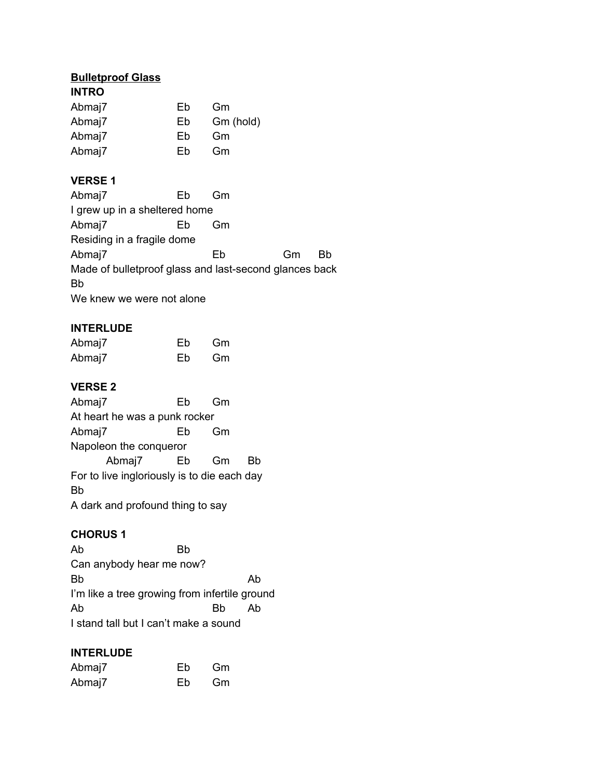# **Bulletproof Glass**

| <b>INTRO</b> |    |           |
|--------------|----|-----------|
| Abmaj7       | Eb | Gm        |
| Abmaj7       | Eb | Gm (hold) |
| Abmaj7       | Eb | Gm        |
| Abmaj7       | Fh | Gm        |

## **VERSE 1**

| Abmaj7                                                 | Fh | Gm |    |    |  |  |
|--------------------------------------------------------|----|----|----|----|--|--|
| I grew up in a sheltered home                          |    |    |    |    |  |  |
| Abmaj7                                                 | Еb | Gm |    |    |  |  |
| Residing in a fragile dome                             |    |    |    |    |  |  |
| Abmaj7                                                 |    | Eb | Gm | Вh |  |  |
| Made of bulletproof glass and last-second glances back |    |    |    |    |  |  |
| Bb                                                     |    |    |    |    |  |  |
| We knew we were not alone                              |    |    |    |    |  |  |

## **INTERLUDE**

| Abmaj7 | Eb | Gm |
|--------|----|----|
| Abmaj7 | Eb | Gm |

## **VERSE 2**

Abmaj7 Eb Gm At heart he was a punk rocker Abmaj7 Eb Gm Napoleon the conqueror Abmaj7 Eb Gm Bb For to live ingloriously is to die each day Bb A dark and profound thing to say

## **CHORUS 1**

Ab Bb Can anybody hear me now? Bb Ab I'm like a tree growing from infertile ground Ab Bb Ab I stand tall but I can't make a sound

## **INTERLUDE**

| Abmaj7 | Eb | Gm |
|--------|----|----|
| Abmaj7 | Eb | Gm |